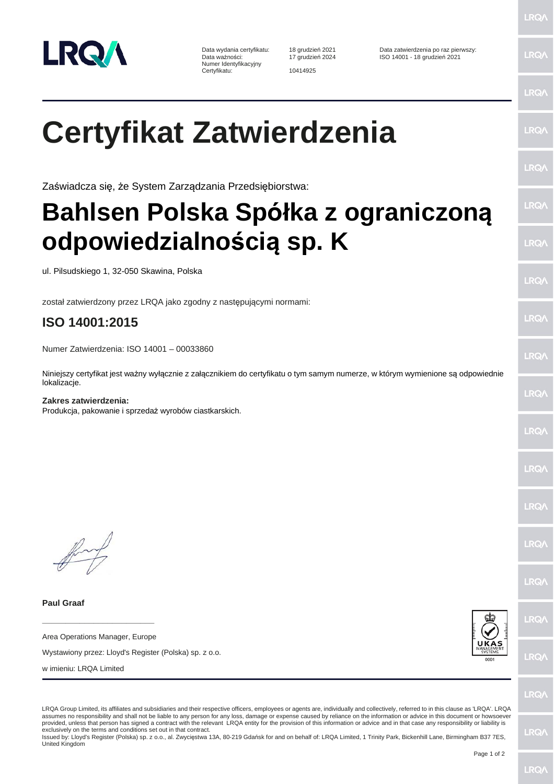

Numer Identyfikacyjny Certyfikatu: 10414925

**LRQ/** 

**LRQ/** 

LRQ/

LRQ/

LRQ/

LRQ/

LRQ/

LRQ/

LRQ/

LRQ/

LRQ/

LRQ/

LRQ/

LRQ/

LRQ/

## **Certyfikat Zatwierdzenia**

Zaświadcza się, że System Zarządzania Przedsiębiorstwa:

## **Bahlsen Polska Spółka z ograniczoną odpowiedzialnością sp. K**

ul. Pilsudskiego 1, 32-050 Skawina, Polska

został zatwierdzony przez LRQA jako zgodny z następującymi normami:

## **ISO 14001:2015**

Numer Zatwierdzenia: ISO 14001 – 00033860

Niniejszy certyfikat jest ważny wyłącznie z załącznikiem do certyfikatu o tym samym numerze, w którym wymienione są odpowiednie lokalizacje.

## **Zakres zatwierdzenia:** Produkcja, pakowanie i sprzedaż wyrobów ciastkarskich.

**Paul Graaf**

**\_\_\_\_\_\_\_\_\_\_\_\_\_\_\_\_\_\_\_\_\_\_\_\_** Area Operations Manager, Europe

Wystawiony przez: Lloyd's Register (Polska) sp. z o.o.

w imieniu: LRQA Limited



LRQ/

LRQA Group Limited, its affiliates and subsidiaries and their respective officers, employees or agents are, individually and collectively, referred to in this clause as 'LRQA'. LRQA assumes no responsibility and shall not be liable to any person for any loss, damage or expense caused by reliance on the information or advice in this document or howsoever provided, unless that person has signed a contract with the relevant LRQA entity for the provision of this information or advice and in that case any responsibility or liability is exclusively on the terms and conditions set out in that contract.

Issued by: Lloyd's Register (Polska) sp. z o.o., al. Zwycięstwa 13A, 80-219 Gdańsk for and on behalf of: LRQA Limited, 1 Trinity Park, Bickenhill Lane, Birmingham B37 7ES, United Kingdom

LRQ/

LRQ/

LRQ/

**LRQ/**